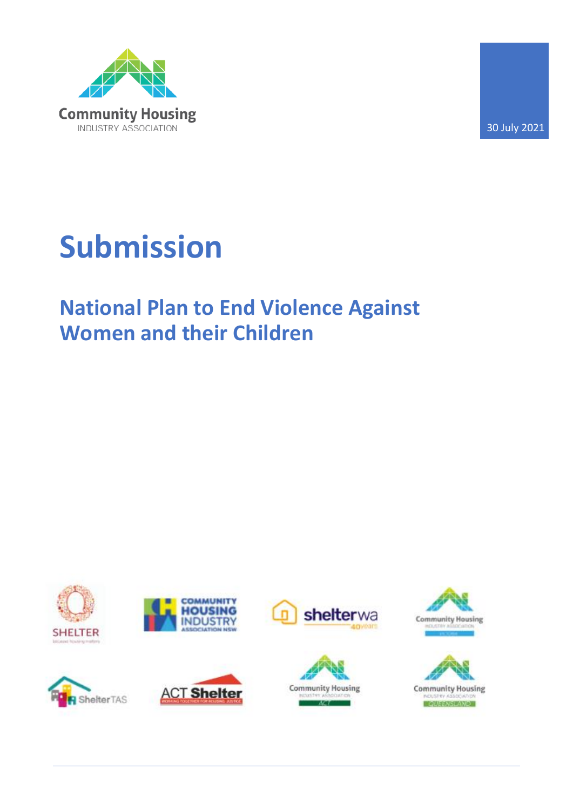

30 July 2021

# **Submission**

## **National Plan to End Violence Against Women and their Children**

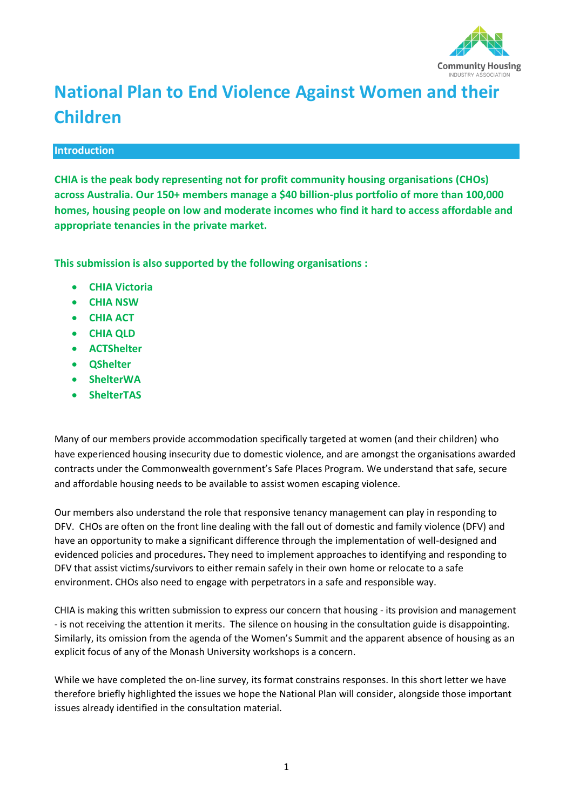

### **National Plan to End Violence Against Women and their Children**

#### **Introduction**

**CHIA is the peak body representing not for profit community housing organisations (CHOs) across Australia. Our 150+ members manage a \$40 billion-plus portfolio of more than 100,000 homes, housing people on low and moderate incomes who find it hard to access affordable and appropriate tenancies in the private market.** 

**This submission is also supported by the following organisations :**

- **CHIA Victoria**
- **CHIA NSW**
- **CHIA ACT**
- **CHIA QLD**
- **ACTShelter**
- **QShelter**
- **ShelterWA**
- **ShelterTAS**

Many of our members provide accommodation specifically targeted at women (and their children) who have experienced housing insecurity due to domestic violence, and are amongst the organisations awarded contracts under the Commonwealth government's Safe Places Program. We understand that safe, secure and affordable housing needs to be available to assist women escaping violence.

Our members also understand the role that responsive tenancy management can play in responding to DFV. CHOs are often on the front line dealing with the fall out of domestic and family violence (DFV) and have an opportunity to make a significant difference through the implementation of well-designed and evidenced policies and procedures**.** They need to implement approaches to identifying and responding to DFV that assist victims/survivors to either remain safely in their own home or relocate to a safe environment. CHOs also need to engage with perpetrators in a safe and responsible way.

CHIA is making this written submission to express our concern that housing - its provision and management - is not receiving the attention it merits. The silence on housing in the consultation guide is disappointing. Similarly, its omission from the agenda of the Women's Summit and the apparent absence of housing as an explicit focus of any of the Monash University workshops is a concern.

While we have completed the on-line survey, its format constrains responses. In this short letter we have therefore briefly highlighted the issues we hope the National Plan will consider, alongside those important issues already identified in the consultation material.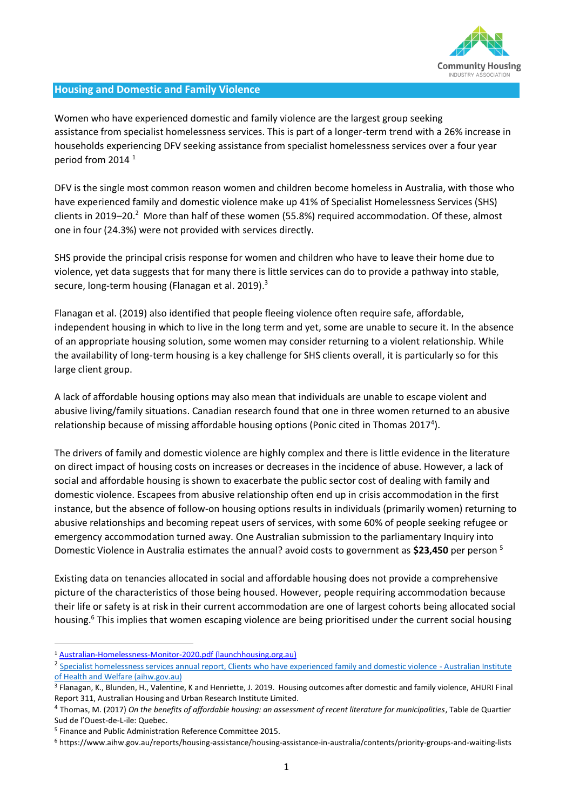

#### **Housing and Domestic and Family Violence**

Women who have experienced domestic and family violence are the largest group seeking assistance from specialist homelessness services. This is part of a longer-term trend with a 26% increase in households experiencing DFV seeking assistance from specialist homelessness services over a four year period from 2014<sup>1</sup>

DFV is the single most common reason women and children become homeless in Australia, with those who have experienced family and domestic violence make up 41% of Specialist Homelessness Services (SHS) clients in 2019–20.<sup>2</sup> More than half of these women (55.8%) required accommodation. Of these, almost one in four (24.3%) were not provided with services directly.

SHS provide the principal crisis response for women and children who have to leave their home due to violence, yet data suggests that for many there is little services can do to provide a pathway into stable, secure, long-term housing (Flanagan et al. 2019).<sup>3</sup>

Flanagan et al. (2019) also identified that people fleeing violence often require safe, affordable, independent housing in which to live in the long term and yet, some are unable to secure it. In the absence of an appropriate housing solution, some women may consider returning to a violent relationship. While the availability of long-term housing is a key challenge for SHS clients overall, it is particularly so for this large client group.

A lack of affordable housing options may also mean that individuals are unable to escape violent and abusive living/family situations. Canadian research found that one in three women returned to an abusive relationship because of missing affordable housing options (Ponic cited in Thomas 2017<sup>4</sup>).

The drivers of family and domestic violence are highly complex and there is little evidence in the literature on direct impact of housing costs on increases or decreases in the incidence of abuse. However, a lack of social and affordable housing is shown to exacerbate the public sector cost of dealing with family and domestic violence. Escapees from abusive relationship often end up in crisis accommodation in the first instance, but the absence of follow-on housing options results in individuals (primarily women) returning to abusive relationships and becoming repeat users of services, with some 60% of people seeking refugee or emergency accommodation turned away. One Australian submission to the parliamentary Inquiry into Domestic Violence in Australia estimates the annual? avoid costs to government as **\$23,450** per person <sup>5</sup>

Existing data on tenancies allocated in social and affordable housing does not provide a comprehensive picture of the characteristics of those being housed. However, people requiring accommodation because their life or safety is at risk in their current accommodation are one of largest cohorts being allocated social housing.<sup>6</sup> This implies that women escaping violence are being prioritised under the current social housing

<sup>1</sup> [Australian-Homelessness-Monitor-2020.pdf \(launchhousing.org.au\)](https://data.launchhousing.org.au/app/uploads/2020/10/Australian-Homelessness-Monitor-2020.pdf)

<sup>&</sup>lt;sup>2</sup> [Specialist homelessness services annual report, Clients who have experienced family and domestic violence -](https://www.aihw.gov.au/reports/homelessness-services/specialist-homelessness-services-annual-report/contents/clients-who-have-experienced-family-and-domestic-violence) Australian Institute [of Health and Welfare \(aihw.gov.au\)](https://www.aihw.gov.au/reports/homelessness-services/specialist-homelessness-services-annual-report/contents/clients-who-have-experienced-family-and-domestic-violence)

<sup>3</sup> Flanagan, K., Blunden, H., Valentine, K and Henriette, J. 2019. Housing outcomes after domestic and family violence, AHURI Final Report 311, Australian Housing and Urban Research Institute Limited.

<sup>4</sup> Thomas, M. (2017) *On the benefits of affordable housing: an assessment of recent literature for municipalities*, Table de Quartier Sud de l'Ouest-de-L-ile: Quebec.

<sup>5</sup> Finance and Public Administration Reference Committee 2015.

<sup>6</sup> https://www.aihw.gov.au/reports/housing-assistance/housing-assistance-in-australia/contents/priority-groups-and-waiting-lists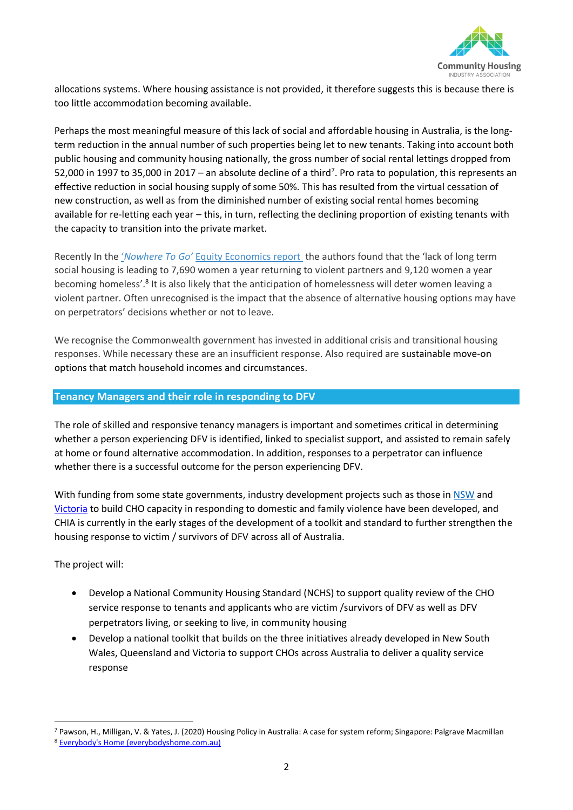

allocations systems. Where housing assistance is not provided, it therefore suggests this is because there is too little accommodation becoming available.

Perhaps the most meaningful measure of this lack of social and affordable housing in Australia, is the longterm reduction in the annual number of such properties being let to new tenants. Taking into account both public housing and community housing nationally, the gross number of social rental lettings dropped from 52,000 in 1997 to 35,000 in 2017 – an absolute decline of a third<sup>7</sup>. Pro rata to population, this represents an effective reduction in social housing supply of some 50%. This has resulted from the virtual cessation of new construction, as well as from the diminished number of existing social rental homes becoming available for re-letting each year – this, in turn, reflecting the declining proportion of existing tenants with the capacity to transition into the private market.

Recently In the '*Nowhere To Go'* [Equity Economics report](http://everybodyshome.com.au/wp-content/uploads/2021/07/EE_Women-Housing_Domestic-Violence_WEB_SINGLES.pdf) the authors found that the 'lack of long term social housing is leading to 7,690 women a year returning to violent partners and 9,120 women a year becoming homeless'.<sup>8</sup> It is also likely that the anticipation of homelessness will deter women leaving a violent partner. Often unrecognised is the impact that the absence of alternative housing options may have on perpetrators' decisions whether or not to leave.

We recognise the Commonwealth government has invested in additional crisis and transitional housing responses. While necessary these are an insufficient response. Also required are sustainable move-on options that match household incomes and circumstances.

#### **Tenancy Managers and their role in responding to DFV**

The role of skilled and responsive tenancy managers is important and sometimes critical in determining whether a person experiencing DFV is identified, linked to specialist support, and assisted to remain safely at home or found alternative accommodation. In addition, responses to a perpetrator can influence whether there is a successful outcome for the person experiencing DFV.

With funding from some state governments, industry development projects such as those in [NSW](http://nswfha.wpengine.com/information/resources/creating-sustainable-tenancies-for-tenants-with-complex-needs/) and [Victoria](https://chiavic.com.au/family-violence/) to build CHO capacity in responding to domestic and family violence have been developed, and CHIA is currently in the early stages of the development of a toolkit and standard to further strengthen the housing response to victim / survivors of DFV across all of Australia.

The project will:

- Develop a National Community Housing Standard (NCHS) to support quality review of the CHO service response to tenants and applicants who are victim /survivors of DFV as well as DFV perpetrators living, or seeking to live, in community housing
- Develop a national toolkit that builds on the three initiatives already developed in New South Wales, Queensland and Victoria to support CHOs across Australia to deliver a quality service response

<sup>7</sup> Pawson, H., Milligan, V. & Yates, J. (2020) Housing Policy in Australia: A case for system reform; Singapore: Palgrave Macmillan

<sup>8</sup> [Everybody's Home \(everybodyshome.com.au\)](https://everybodyshome.com.au/report-social-housing-keeps-women-safe-from-family-violence-expands-economy/)